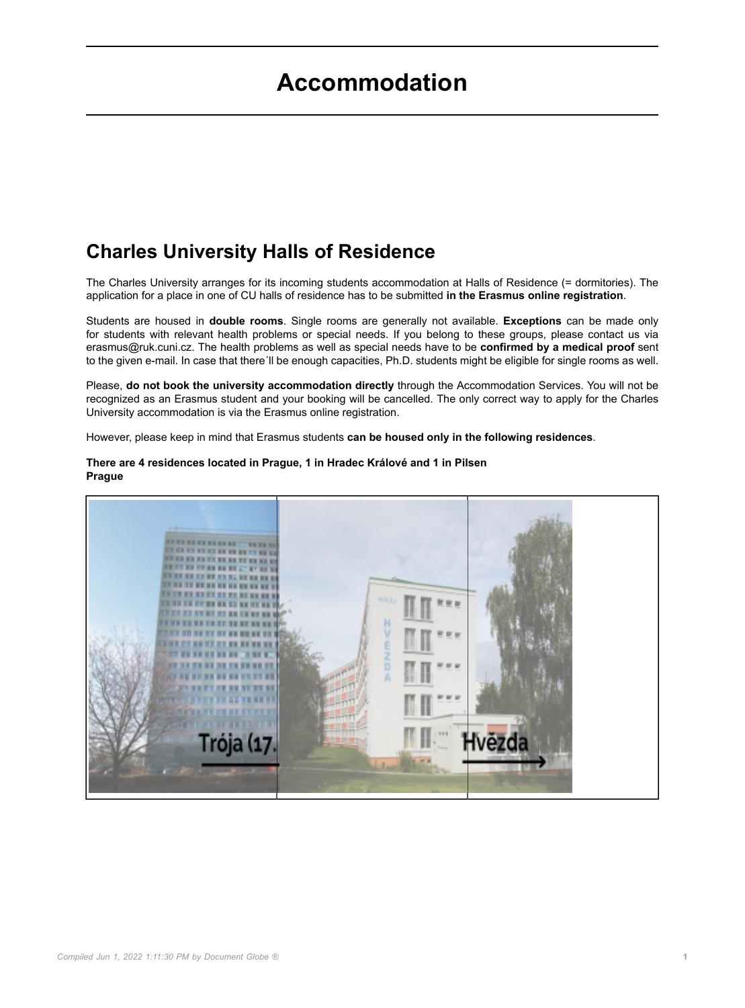# **Accommodation**

# **Charles University Halls of Residence**

The Charles University arranges for its incoming students accommodation at Halls of Residence (= dormitories). The application for a place in one of CU halls of residence has to be submitted **in the Erasmus online registration**.

Students are housed in **double rooms**. Single rooms are generally not available. **Exceptions** can be made only for students with relevant health problems or special needs. If you belong to these groups, please contact us via erasmus@ruk.cuni.cz. The health problems as well as special needs have to be **confirmed by a medical proof** sent to the given e-mail. In case that there'll be enough capacities, Ph.D. students might be eligible for single rooms as well.

Please, **do not book the university accommodation directly** through the Accommodation Services. You will not be recognized as an Erasmus student and your booking will be cancelled. The only correct way to apply for the Charles University accommodation is via the Erasmus online registration.

However, please keep in mind that Erasmus students **can be housed only in the following residences**.



#### **There are 4 residences located in Prague, 1 in Hradec Králové and 1 in Pilsen Prague**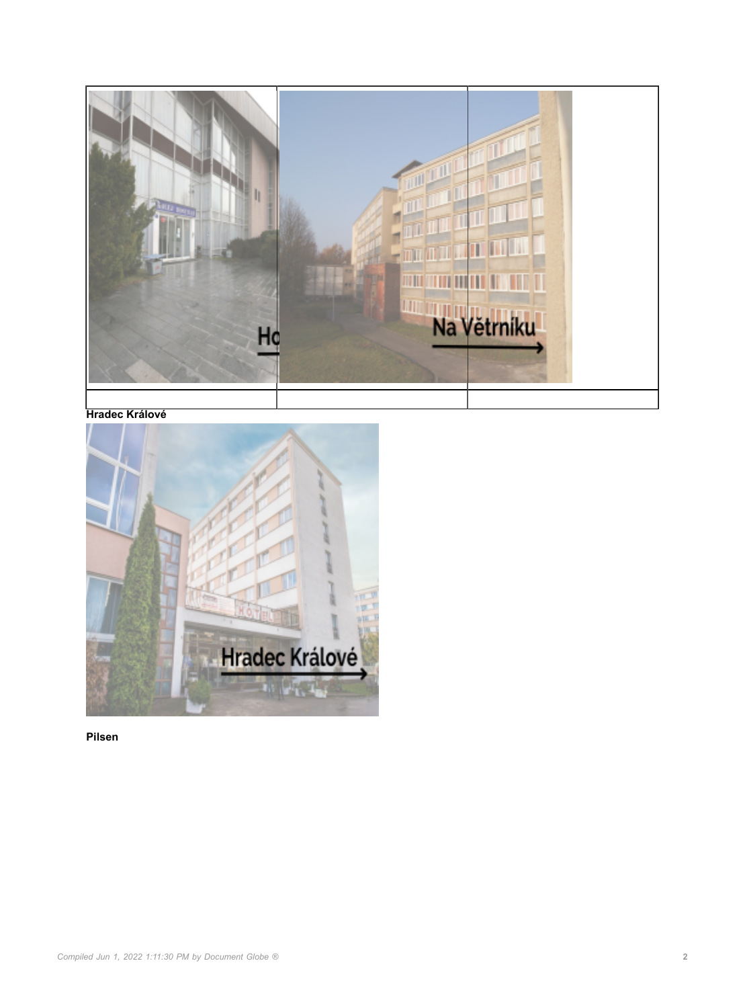

#### **Hradec Králové**



**Pilsen**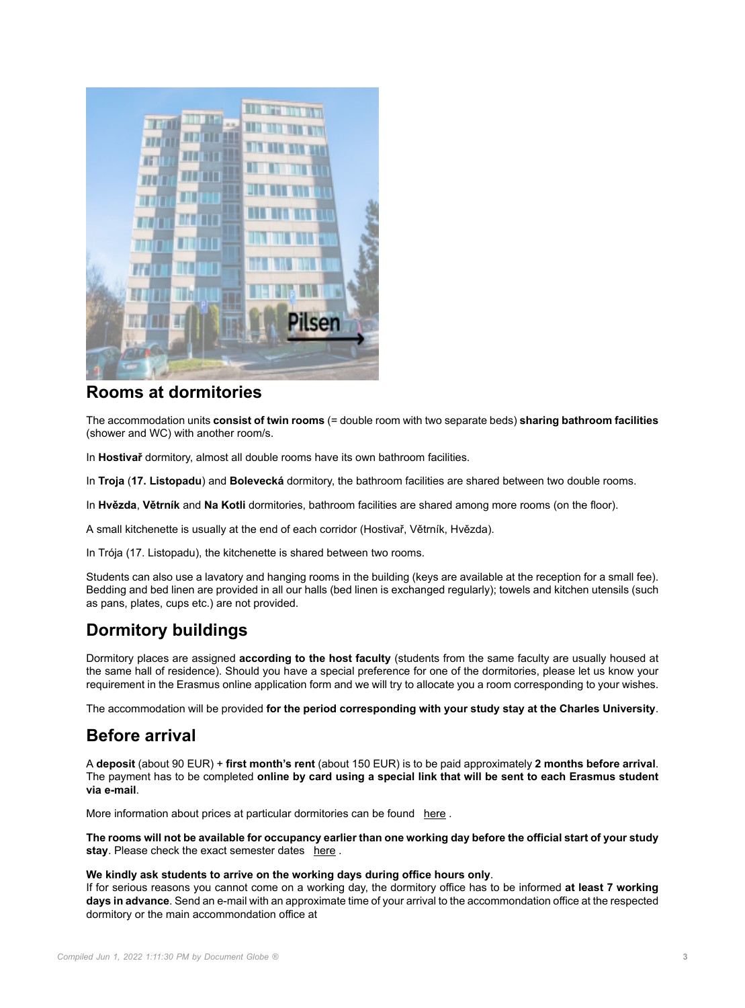

### **Rooms at dormitories**

The accommodation units **consist of twin rooms** (= double room with two separate beds) **sharing bathroom facilities** (shower and WC) with another room/s.

In **Hostivař** dormitory, almost all double rooms have its own bathroom facilities.

In **Troja** (**17. Listopadu**) and **Bolevecká** dormitory, the bathroom facilities are shared between two double rooms.

In **Hvězda**, **Větrník** and **Na Kotli** dormitories, bathroom facilities are shared among more rooms (on the floor).

A small kitchenette is usually at the end of each corridor (Hostivař, Větrník, Hvězda).

In Trója (17. Listopadu), the kitchenette is shared between two rooms.

Students can also use a lavatory and hanging rooms in the building (keys are available at the reception for a small fee). Bedding and bed linen are provided in all our halls (bed linen is exchanged regularly); towels and kitchen utensils (such as pans, plates, cups etc.) are not provided.

## **Dormitory buildings**

Dormitory places are assigned **according to the host faculty** (students from the same faculty are usually housed at the same hall of residence). Should you have a special preference for one of the dormitories, please let us know your requirement in the Erasmus online application form and we will try to allocate you a room corresponding to your wishes.

The accommodation will be provided **for the period corresponding with your study stay at the Charles University**.

### **Before arrival**

A **deposit** (about 90 EUR) + **first month's rent** (about 150 EUR) is to be paid approximately **2 months before arrival**. The payment has to be completed **online by card using a special link that will be sent to each Erasmus student via e-mail**.

More information about prices at particular dormitories can be found [here](https://kam.cuni.cz/KAMEN-31.html) .

**The rooms will not be available for occupancy earlier than one working day before the official start of your study stay**. Please check the exact semester dates [here](https://cuni.cz/UKEN-362.html) .

#### **We kindly ask students to arrive on the working days during office hours only**.

If for serious reasons you cannot come on a working day, the dormitory office has to be informed **at least 7 working days in advance**. Send an e-mail with an approximate time of your arrival to the accommondation office at the respected dormitory or the main accommondation office at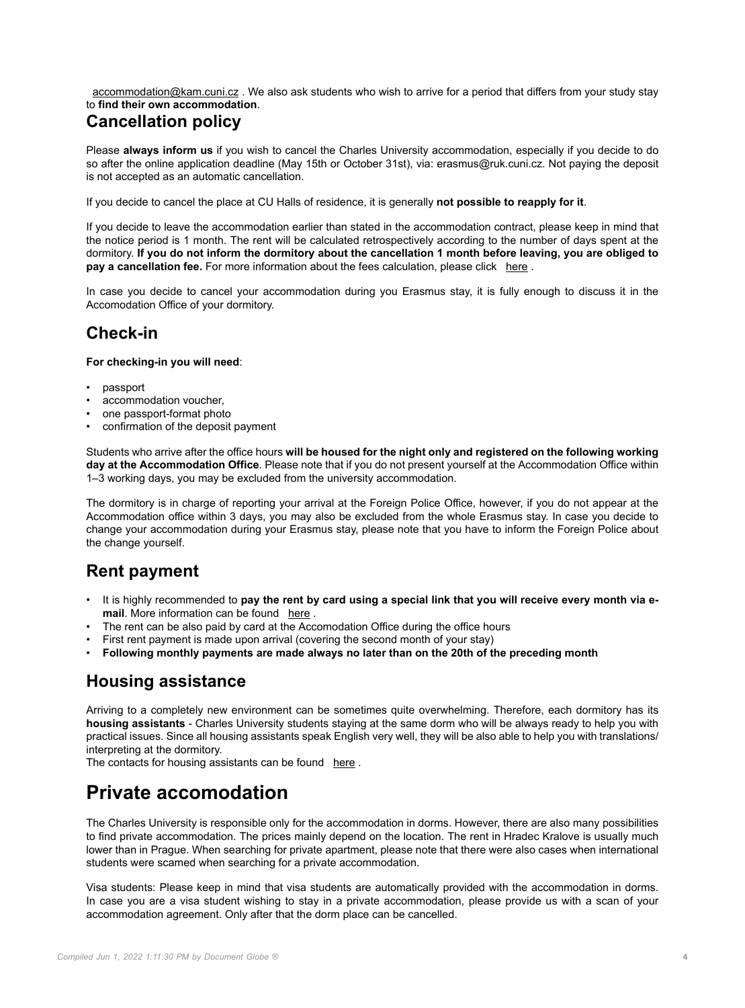[accommodation@kam.cuni.cz](http:) . We also ask students who wish to arrive for a period that differs from your study stay to **find their own accommodation**.

## **Cancellation policy**

Please **always inform us** if you wish to cancel the Charles University accommodation, especially if you decide to do so after the online application deadline (May 15th or October 31st), via: erasmus@ruk.cuni.cz. Not paying the deposit is not accepted as an automatic cancellation.

If you decide to cancel the place at CU Halls of residence, it is generally **not possible to reapply for it**.

If you decide to leave the accommodation earlier than stated in the accommodation contract, please keep in mind that the notice period is 1 month. The rent will be calculated retrospectively according to the number of days spent at the dormitory. **If you do not inform the dormitory about the cancellation 1 month before leaving, you are obliged to pay a cancellation fee.** For more information about the fees calculation, please click [here](https://kam.cuni.cz/KAMEN-31.html).

In case you decide to cancel your accommodation during you Erasmus stay, it is fully enough to discuss it in the Accomodation Office of your dormitory.

### **Check-in**

**For checking-in you will need**:

- passport
- accommodation voucher.
- one passport-format photo
- confirmation of the deposit payment

Students who arrive after the office hours **will be housed for the night only and registered on the following working day at the Accommodation Office**. Please note that if you do not present yourself at the Accommodation Office within 1–3 working days, you may be excluded from the university accommodation.

The dormitory is in charge of reporting your arrival at the Foreign Police Office, however, if you do not appear at the Accommodation office within 3 days, you may also be excluded from the whole Erasmus stay. In case you decide to change your accommodation during your Erasmus stay, please note that you have to inform the Foreign Police about the change yourself.

## **Rent payment**

- It is highly recommended to **pay the rent by card using a special link that you will receive every month via e**mail. More information can be found [here](https://kam.cuni.cz/KAMEN-181.html).
- The rent can be also paid by card at the Accomodation Office during the office hours
- First rent payment is made upon arrival (covering the second month of your stay)
- **Following monthly payments are made always no later than on the 20th of the preceding month**

## **Housing assistance**

Arriving to a completely new environment can be sometimes quite overwhelming. Therefore, each dormitory has its **housing assistants** - Charles University students staying at the same dorm who will be always ready to help you with practical issues. Since all housing assistants speak English very well, they will be also able to help you with translations/ interpreting at the dormitory.

The contacts for housing assistants can be found [here](https://kam.cuni.cz/KAMEN-175.html) .

# **Private accomodation**

The Charles University is responsible only for the accommodation in dorms. However, there are also many possibilities to find private accommodation. The prices mainly depend on the location. The rent in Hradec Kralove is usually much lower than in Prague. When searching for private apartment, please note that there were also cases when international students were scamed when searching for a private accommodation.

Visa students: Please keep in mind that visa students are automatically provided with the accommodation in dorms. In case you are a visa student wishing to stay in a private accommodation, please provide us with a scan of your accommodation agreement. Only after that the dorm place can be cancelled.